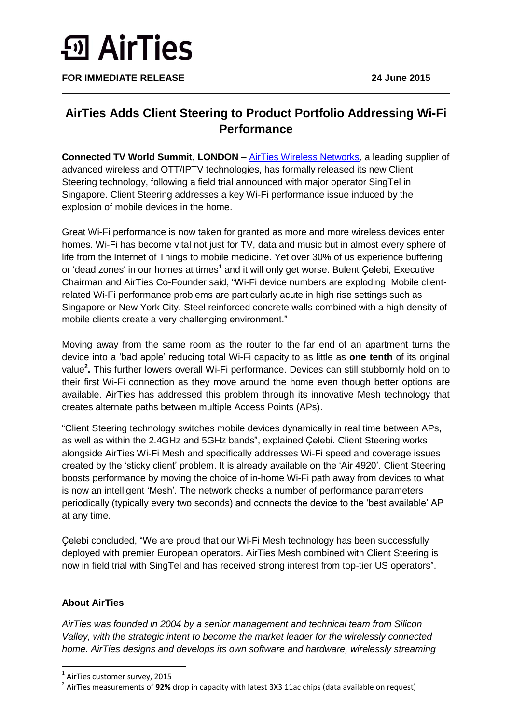## **<u>5</u>** AirTies

**FOR IMMEDIATE RELEASE 24 June 2015**

## **AirTies Adds Client Steering to Product Portfolio Addressing Wi-Fi Performance**

**Connected TV World Summit, LONDON –** [AirTies Wireless Networks,](http://airties.com/) a leading supplier of advanced wireless and OTT/IPTV technologies, has formally released its new Client Steering technology, following a field trial announced with major operator SingTel in Singapore. Client Steering addresses a key Wi-Fi performance issue induced by the explosion of mobile devices in the home.

Great Wi-Fi performance is now taken for granted as more and more wireless devices enter homes. Wi-Fi has become vital not just for TV, data and music but in almost every sphere of life from the Internet of Things to mobile medicine. Yet over 30% of us experience buffering or 'dead zones' in our homes at times<sup>1</sup> and it will only get worse. Bulent Çelebi, Executive Chairman and AirTies Co-Founder said, "Wi-Fi device numbers are exploding. Mobile clientrelated Wi-Fi performance problems are particularly acute in high rise settings such as Singapore or New York City. Steel reinforced concrete walls combined with a high density of mobile clients create a very challenging environment."

Moving away from the same room as the router to the far end of an apartment turns the device into a "bad apple" reducing total Wi-Fi capacity to as little as **one tenth** of its original value**<sup>2</sup> .** This further lowers overall Wi-Fi performance. Devices can still stubbornly hold on to their first Wi-Fi connection as they move around the home even though better options are available. AirTies has addressed this problem through its innovative Mesh technology that creates alternate paths between multiple Access Points (APs).

"Client Steering technology switches mobile devices dynamically in real time between APs, as well as within the 2.4GHz and 5GHz bands", explained Çelebi. Client Steering works alongside AirTies Wi-Fi Mesh and specifically addresses Wi-Fi speed and coverage issues created by the "sticky client" problem. It is already available on the "Air 4920". Client Steering boosts performance by moving the choice of in-home Wi-Fi path away from devices to what is now an intelligent 'Mesh'. The network checks a number of performance parameters periodically (typically every two seconds) and connects the device to the "best available" AP at any time.

Çelebi concluded, "We are proud that our Wi-Fi Mesh technology has been successfully deployed with premier European operators. AirTies Mesh combined with Client Steering is now in field trial with SingTel and has received strong interest from top-tier US operators".

## **About AirTies**

**.** 

*AirTies was founded in 2004 by a senior management and technical team from Silicon Valley, with the strategic intent to become the market leader for the wirelessly connected home. AirTies designs and develops its own software and hardware, wirelessly streaming* 

<sup>&</sup>lt;sup>1</sup> AirTies customer survey, 2015

<sup>2</sup> AirTies measurements of **92%** drop in capacity with latest 3X3 11ac chips (data available on request)